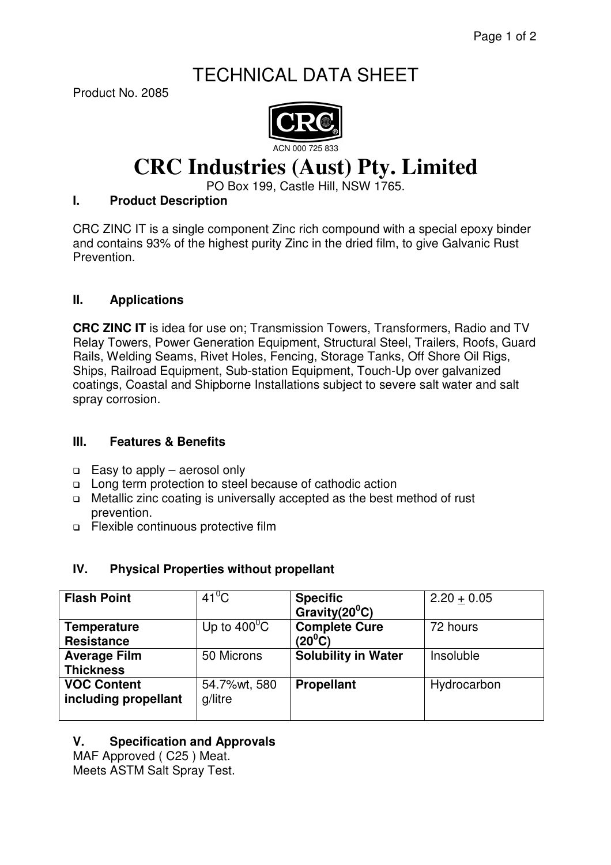## TECHNICAL DATA SHEET

Product No. 2085



# **CRC Industries (Aust) Pty. Limited**

PO Box 199, Castle Hill, NSW 1765.

#### **I. Product Description**

CRC ZINC IT is a single component Zinc rich compound with a special epoxy binder and contains 93% of the highest purity Zinc in the dried film, to give Galvanic Rust Prevention.

#### **II. Applications**

**CRC ZINC IT** is idea for use on; Transmission Towers, Transformers, Radio and TV Relay Towers, Power Generation Equipment, Structural Steel, Trailers, Roofs, Guard Rails, Welding Seams, Rivet Holes, Fencing, Storage Tanks, Off Shore Oil Rigs, Ships, Railroad Equipment, Sub-station Equipment, Touch-Up over galvanized coatings, Coastal and Shipborne Installations subject to severe salt water and salt spray corrosion.

#### **III. Features & Benefits**

- $\Box$  Easy to apply aerosol only
- □ Long term protection to steel because of cathodic action
- □ Metallic zinc coating is universally accepted as the best method of rust prevention.
- Flexible continuous protective film

#### **IV. Physical Properties without propellant**

| <b>Flash Point</b>                         | $41^0$ C                | <b>Specific</b><br>Gravity( $20^0C$ )       | $2.20 + 0.05$ |
|--------------------------------------------|-------------------------|---------------------------------------------|---------------|
| <b>Temperature</b><br><b>Resistance</b>    | Up to $400^{\circ}$ C   | <b>Complete Cure</b><br>(20 <sup>0</sup> C) | 72 hours      |
| <b>Average Film</b><br><b>Thickness</b>    | 50 Microns              | <b>Solubility in Water</b>                  | Insoluble     |
| <b>VOC Content</b><br>including propellant | 54.7%wt, 580<br>g/litre | <b>Propellant</b>                           | Hydrocarbon   |

### **V. Specification and Approvals**

MAF Approved ( C25 ) Meat. Meets ASTM Salt Spray Test.